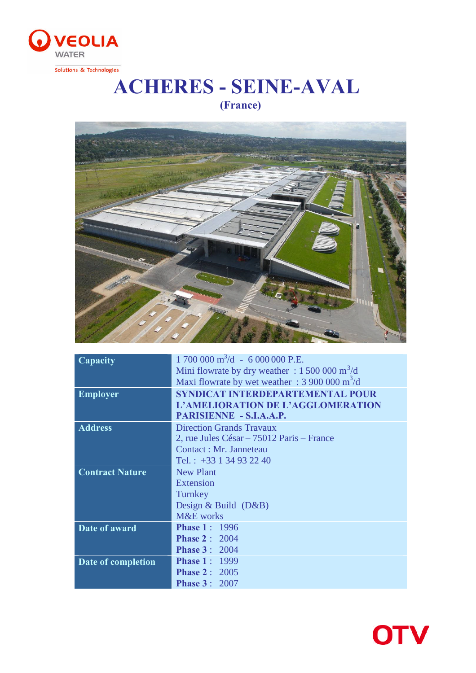

Solutions & Technologies

## **ACHERES - SEINE-AVAL (France)**



| $1700000 \text{ m}^3/\text{d} - 6000000 \text{ P.E.}$         |
|---------------------------------------------------------------|
| Mini flowrate by dry weather : $1500000 \text{ m}^3/\text{d}$ |
| Maxi flowrate by wet weather : $3900000 \text{ m}^3/\text{d}$ |
| SYNDICAT INTERDEPARTEMENTAL POUR                              |
| L'AMELIORATION DE L'AGGLOMERATION                             |
| PARISIENNE - S.I.A.A.P.                                       |
| <b>Direction Grands Travaux</b>                               |
| 2, rue Jules César – 75012 Paris – France                     |
| Contact : Mr. Janneteau                                       |
| Tel.: $+33$ 1 34 93 22 40                                     |
| <b>New Plant</b>                                              |
| Extension                                                     |
| Turnkey                                                       |
| Design & Build $(D&B)$                                        |
| M&E works                                                     |
| <b>Phase 1: 1996</b>                                          |
| <b>Phase 2: 2004</b>                                          |
| <b>Phase 3: 2004</b>                                          |
| <b>Phase 1: 1999</b>                                          |
| <b>Phase 2</b> : $2005$                                       |
| <b>Phase 3: 2007</b>                                          |
|                                                               |